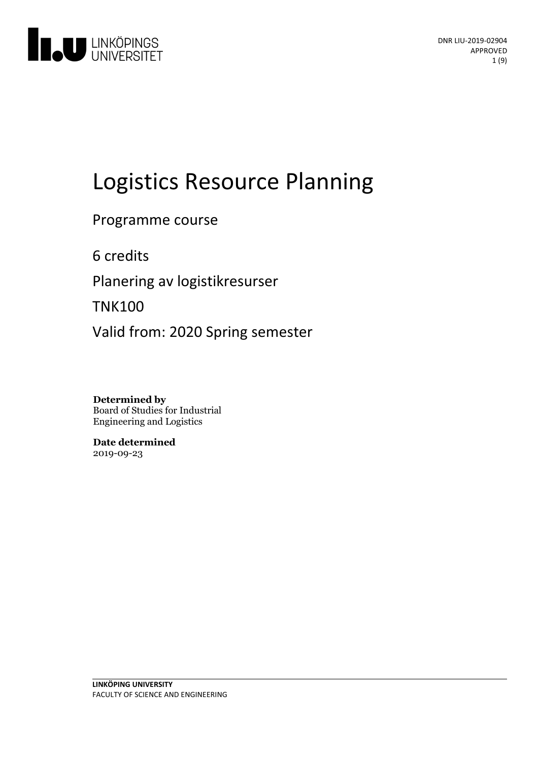

# Logistics Resource Planning

Programme course

6 credits

Planering av logistikresurser

TNK100

Valid from: 2020 Spring semester

**Determined by** Board of Studies for Industrial Engineering and Logistics

**Date determined** 2019-09-23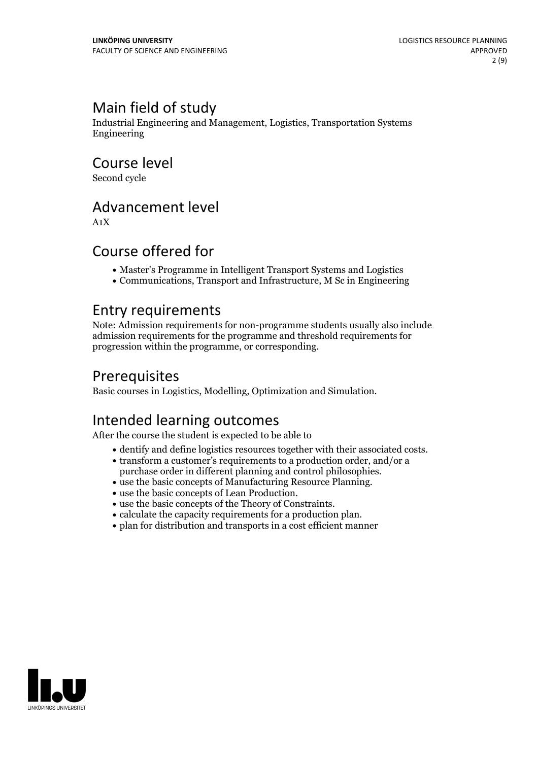# Main field of study

Industrial Engineering and Management, Logistics, Transportation Systems Engineering

Course level

Second cycle

# Advancement level

A1X

# Course offered for

- Master's Programme in Intelligent Transport Systems and Logistics
- Communications, Transport and Infrastructure, M Sc in Engineering

# Entry requirements

Note: Admission requirements for non-programme students usually also include admission requirements for the programme and threshold requirements for progression within the programme, or corresponding.

# **Prerequisites**

Basic courses in Logistics, Modelling, Optimization and Simulation.

# Intended learning outcomes

After the course the student is expected to be able to

- 
- dentify and define logistics resources together with their associated costs.<br>
 transform a customer's requirements to a production order, and/or a purchase order in different planning and control philosophies.
- use the basic concepts of Manufacturing Resource Planning.<br>• use the basic concepts of Lean Production.<br>• use the basic concepts of the Theory of Constraints.<br>• calculate the capacity requirements for a production plan.<br>
- 
- 
- 
- 

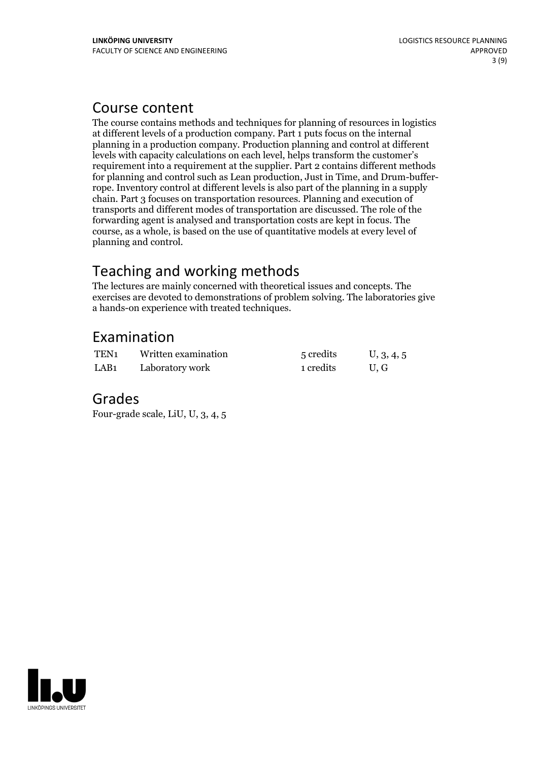# Course content

The course contains methods and techniques for planning of resources in logistics at different levels of a production company. Part 1 puts focus on the internal planning in a production company. Production planning and control at different levels with capacity calculations on each level, helps transform the customer's requirement into a requirement at the supplier. Part 2 contains different methods for planning and control such as Lean production, Just in Time, and Drum-buffer- rope. Inventory control at different levels is also part of the planning in <sup>a</sup> supply chain. Part 3 focuses on transportation resources. Planning and execution of transports and different modes of transportation are discussed. The role of the forwarding agent is analysed and transportation costs are kept in focus. The course, as a whole, is based on the use of quantitative models at every level of planning and control.

# Teaching and working methods

The lectures are mainly concerned with theoretical issues and concepts. The exercises are devoted to demonstrations of problem solving. The laboratories give a hands-on experience with treated techniques.

# Examination

| TEN <sub>1</sub> | Written examination | 5 credits | U, 3, 4, 5 |
|------------------|---------------------|-----------|------------|
| LAB <sub>1</sub> | Laboratory work     | 1 credits | U.G        |

### Grades

Four-grade scale, LiU, U, 3, 4, 5

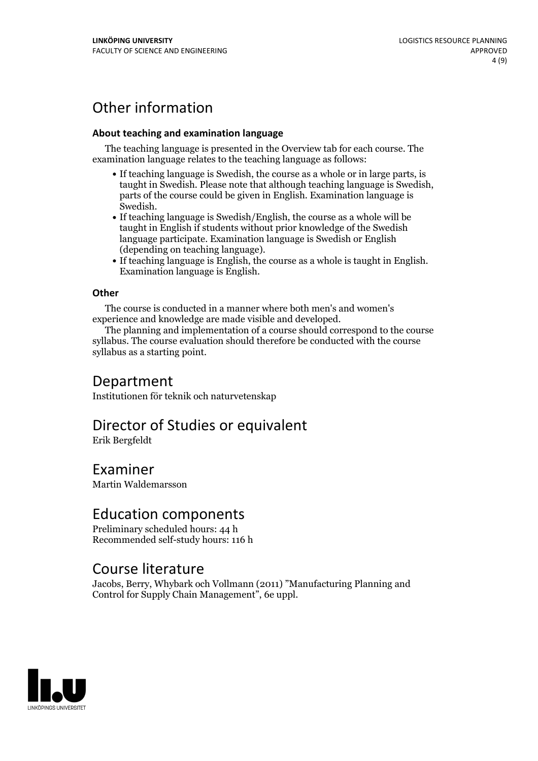# Other information

### **About teaching and examination language**

The teaching language is presented in the Overview tab for each course. The examination language relates to the teaching language as follows:

- If teaching language is Swedish, the course as a whole or in large parts, is taught in Swedish. Please note that although teaching language is Swedish, parts of the course could be given in English. Examination language is
- Swedish.<br>• If teaching language is Swedish/English, the course as a whole will be taught in English if students without prior knowledge of the Swedish language participate. Examination language is Swedish or English
- (depending on teaching language).<br>
 If teaching language is English, the course as a whole is taught in English.<br>
Examination language is English.

### **Other**

The course is conducted in a manner where both men's and women's

experience and knowledge are made visible and developed. The planning and implementation of <sup>a</sup> course should correspond to the course syllabus. The course evaluation should therefore be conducted with the course syllabus as a starting point.

### Department

Institutionen för teknik och naturvetenskap

# Director of Studies or equivalent

Erik Bergfeldt

Examiner Martin Waldemarsson

### Education components

Preliminary scheduled hours: 44 h Recommended self-study hours: 116 h

### Course literature

Jacobs, Berry, Whybark och Vollmann (2011) "Manufacturing Planning and Control for Supply Chain Management", 6e uppl.

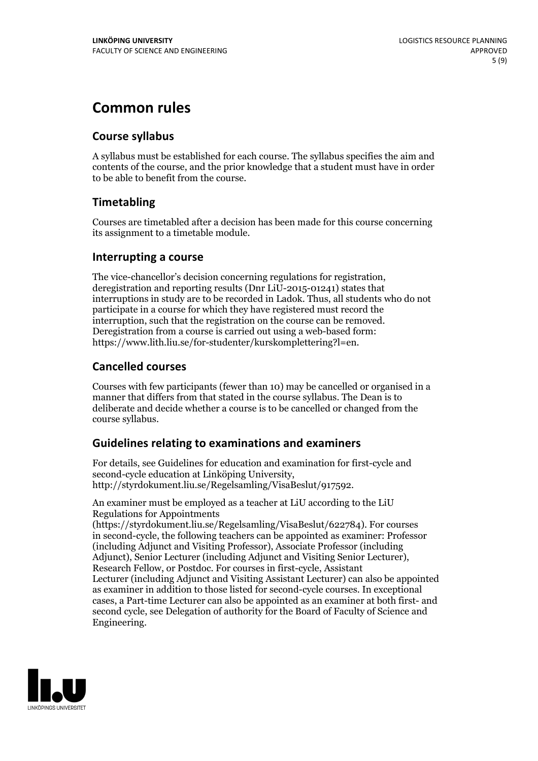# **Common rules**

### **Course syllabus**

A syllabus must be established for each course. The syllabus specifies the aim and contents of the course, and the prior knowledge that a student must have in order to be able to benefit from the course.

### **Timetabling**

Courses are timetabled after a decision has been made for this course concerning its assignment to a timetable module.

### **Interrupting a course**

The vice-chancellor's decision concerning regulations for registration, deregistration and reporting results (Dnr LiU-2015-01241) states that interruptions in study are to be recorded in Ladok. Thus, all students who do not participate in a course for which they have registered must record the interruption, such that the registration on the course can be removed. Deregistration from <sup>a</sup> course is carried outusing <sup>a</sup> web-based form: https://www.lith.liu.se/for-studenter/kurskomplettering?l=en.

### **Cancelled courses**

Courses with few participants (fewer than 10) may be cancelled or organised in a manner that differs from that stated in the course syllabus. The Dean is to deliberate and decide whether a course is to be cancelled or changed from the course syllabus.

### **Guidelines relatingto examinations and examiners**

For details, see Guidelines for education and examination for first-cycle and second-cycle education at Linköping University, http://styrdokument.liu.se/Regelsamling/VisaBeslut/917592.

An examiner must be employed as a teacher at LiU according to the LiU Regulations for Appointments

(https://styrdokument.liu.se/Regelsamling/VisaBeslut/622784). For courses in second-cycle, the following teachers can be appointed as examiner: Professor (including Adjunct and Visiting Professor), Associate Professor (including Adjunct), Senior Lecturer (including Adjunct and Visiting Senior Lecturer), Research Fellow, or Postdoc. For courses in first-cycle, Assistant Lecturer (including Adjunct and Visiting Assistant Lecturer) can also be appointed as examiner in addition to those listed for second-cycle courses. In exceptional cases, a Part-time Lecturer can also be appointed as an examiner at both first- and second cycle, see Delegation of authority for the Board of Faculty of Science and Engineering.

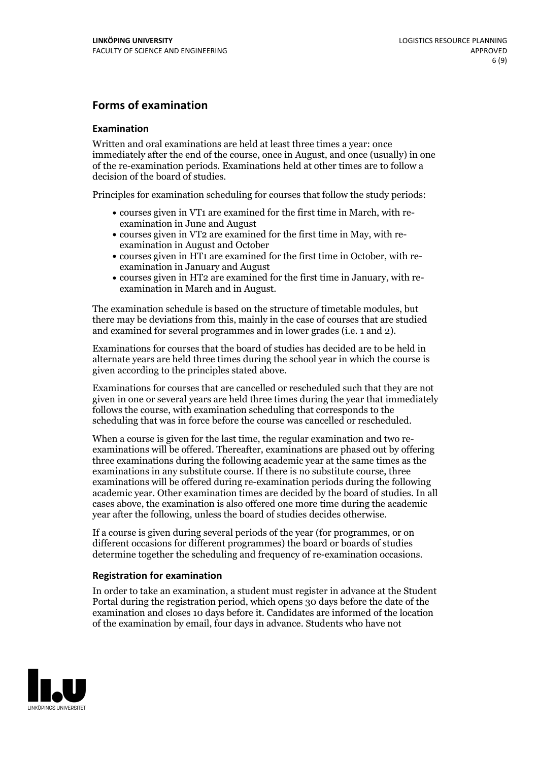### **Forms of examination**

#### **Examination**

Written and oral examinations are held at least three times a year: once immediately after the end of the course, once in August, and once (usually) in one of the re-examination periods. Examinations held at other times are to follow a decision of the board of studies.

Principles for examination scheduling for courses that follow the study periods:

- courses given in VT1 are examined for the first time in March, with re-examination in June and August
- courses given in VT2 are examined for the first time in May, with re-examination in August and October
- courses given in HT1 are examined for the first time in October, with re-examination in January and August
- courses given in HT2 are examined for the first time in January, with re-examination in March and in August.

The examination schedule is based on the structure of timetable modules, but there may be deviations from this, mainly in the case of courses that are studied and examined for several programmes and in lower grades (i.e. 1 and 2).

Examinations for courses that the board of studies has decided are to be held in alternate years are held three times during the school year in which the course is given according to the principles stated above.

Examinations for courses that are cancelled orrescheduled such that they are not given in one or several years are held three times during the year that immediately follows the course, with examination scheduling that corresponds to the scheduling that was in force before the course was cancelled or rescheduled.

When a course is given for the last time, the regular examination and two re-<br>examinations will be offered. Thereafter, examinations are phased out by offering three examinations during the following academic year at the same times as the examinations in any substitute course. If there is no substitute course, three examinations will be offered during re-examination periods during the following academic year. Other examination times are decided by the board of studies. In all cases above, the examination is also offered one more time during the academic year after the following, unless the board of studies decides otherwise.

If a course is given during several periods of the year (for programmes, or on different occasions for different programmes) the board or boards of studies determine together the scheduling and frequency of re-examination occasions.

#### **Registration for examination**

In order to take an examination, a student must register in advance at the Student Portal during the registration period, which opens 30 days before the date of the examination and closes 10 days before it. Candidates are informed of the location of the examination by email, four days in advance. Students who have not

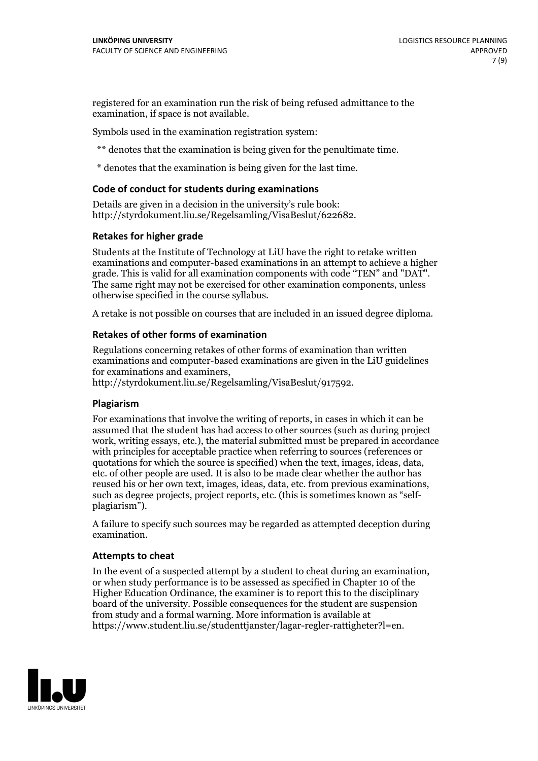registered for an examination run the risk of being refused admittance to the examination, if space is not available.

Symbols used in the examination registration system:

\*\* denotes that the examination is being given for the penultimate time.

\* denotes that the examination is being given for the last time.

#### **Code of conduct for students during examinations**

Details are given in a decision in the university's rule book: http://styrdokument.liu.se/Regelsamling/VisaBeslut/622682.

#### **Retakes for higher grade**

Students at the Institute of Technology at LiU have the right to retake written examinations and computer-based examinations in an attempt to achieve a higher grade. This is valid for all examination components with code "TEN" and "DAT". The same right may not be exercised for other examination components, unless otherwise specified in the course syllabus.

A retake is not possible on courses that are included in an issued degree diploma.

#### **Retakes of other forms of examination**

Regulations concerning retakes of other forms of examination than written examinations and computer-based examinations are given in the LiU guidelines

http://styrdokument.liu.se/Regelsamling/VisaBeslut/917592.

#### **Plagiarism**

For examinations that involve the writing of reports, in cases in which it can be assumed that the student has had access to other sources (such as during project work, writing essays, etc.), the material submitted must be prepared in accordance with principles for acceptable practice when referring to sources (references or quotations for which the source is specified) when the text, images, ideas, data,  $\vec{e}$  etc. of other people are used. It is also to be made clear whether the author has reused his or her own text, images, ideas, data, etc. from previous examinations, such as degree projects, project reports, etc. (this is sometimes known as "self- plagiarism").

A failure to specify such sources may be regarded as attempted deception during examination.

#### **Attempts to cheat**

In the event of <sup>a</sup> suspected attempt by <sup>a</sup> student to cheat during an examination, or when study performance is to be assessed as specified in Chapter <sup>10</sup> of the Higher Education Ordinance, the examiner is to report this to the disciplinary board of the university. Possible consequences for the student are suspension from study and a formal warning. More information is available at https://www.student.liu.se/studenttjanster/lagar-regler-rattigheter?l=en.

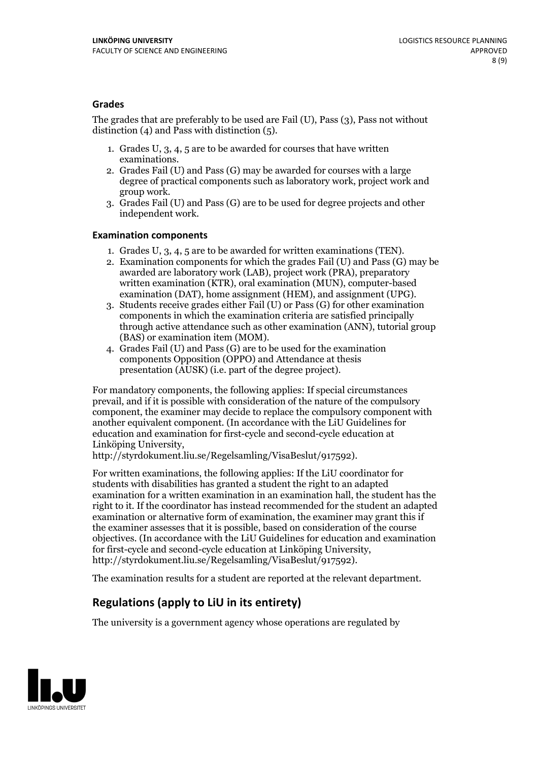### **Grades**

The grades that are preferably to be used are Fail (U), Pass (3), Pass not without distinction  $(4)$  and Pass with distinction  $(5)$ .

- 1. Grades U, 3, 4, 5 are to be awarded for courses that have written
- examinations. 2. Grades Fail (U) and Pass (G) may be awarded for courses with <sup>a</sup> large degree of practical components such as laboratory work, project work and group work. 3. Grades Fail (U) and Pass (G) are to be used for degree projects and other
- independent work.

### **Examination components**

- 
- 1. Grades U, 3, 4, <sup>5</sup> are to be awarded for written examinations (TEN). 2. Examination components for which the grades Fail (U) and Pass (G) may be awarded are laboratory work (LAB), project work (PRA), preparatory written examination (KTR), oral examination (MUN), computer-based
- examination (DAT), home assignment (HEM), and assignment (UPG). 3. Students receive grades either Fail (U) or Pass (G) for other examination components in which the examination criteria are satisfied principally through active attendance such as other examination (ANN), tutorial group
- (BAS) or examination item (MOM). 4. Grades Fail (U) and Pass (G) are to be used for the examination components Opposition (OPPO) and Attendance at thesis presentation (AUSK) (i.e. part of the degree project).

For mandatory components, the following applies: If special circumstances prevail, and if it is possible with consideration of the nature of the compulsory component, the examiner may decide to replace the compulsory component with another equivalent component. (In accordance with the LiU Guidelines for education and examination for first-cycle and second-cycle education at Linköping University, http://styrdokument.liu.se/Regelsamling/VisaBeslut/917592).

For written examinations, the following applies: If the LiU coordinator for students with disabilities has granted a student the right to an adapted examination for a written examination in an examination hall, the student has the right to it. If the coordinator has instead recommended for the student an adapted examination or alternative form of examination, the examiner may grant this if the examiner assesses that it is possible, based on consideration of the course objectives. (In accordance with the LiU Guidelines for education and examination for first-cycle and second-cycle education at Linköping University, http://styrdokument.liu.se/Regelsamling/VisaBeslut/917592).

The examination results for a student are reported at the relevant department.

### **Regulations (applyto LiU in its entirety)**

The university is a government agency whose operations are regulated by